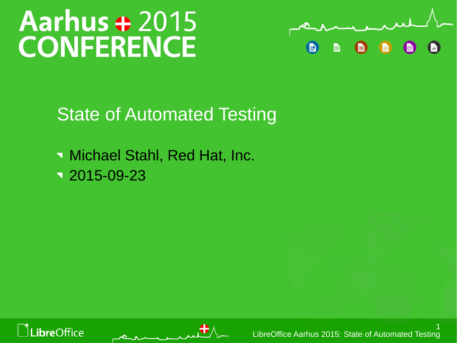# Aarhus + 2015 **CONFERENCE**



State of Automated Testing

**Michael Stahl, Red Hat, Inc.**  $\sqrt{2015-09-23}$ 



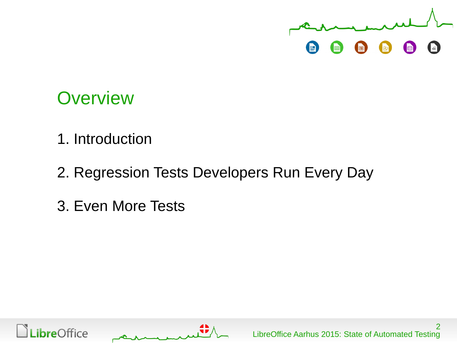

#### **Overview**

- 1. Introduction
- 2. Regression Tests Developers Run Every Day
- 3. Even More Tests



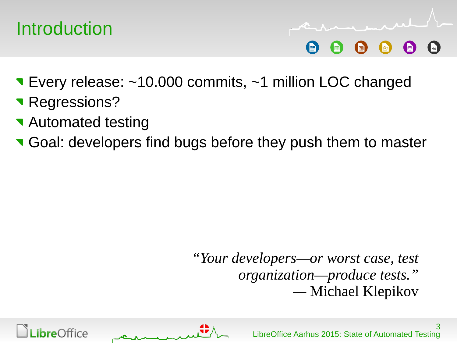

- Every release: ~10.000 commits, ~1 million LOC changed
- **Regressions?**
- **Automated testing**
- Goal: developers find bugs before they push them to master

*"Your developers—or worst case, test organization—produce tests." —* Michael Klepikov



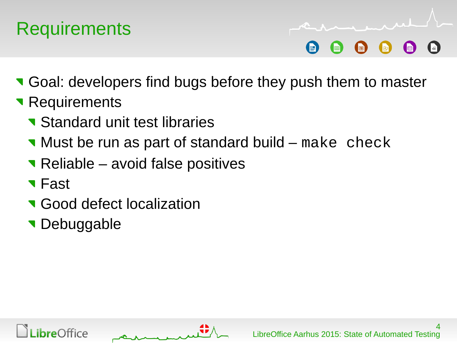## **Requirements**

**T** Goal: developers find bugs before they push them to master

- **Requirements** 
	- **Standard unit test libraries**
	- **Nust be run as part of standard build make check**
	- Reliable avoid false positives
	- **T**Fast
	- **Good defect localization**
	- **Debuggable**



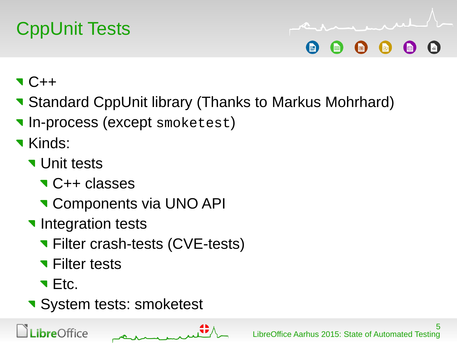# CppUnit Tests

- $\bullet$  C++
- **Standard CppUnit library (Thanks to Markus Mohrhard)**
- **In-process (except smoketest)**
- **Kinds:** 
	- **Vertal Unit tests** 
		- **C++ classes**
		- **T** Components via UNO API
	- Integration tests
		- **T** Filter crash-tests (CVE-tests)
		- **T** Filter tests
		- **T** Etc.

**bre**Office

**System tests: smoketest**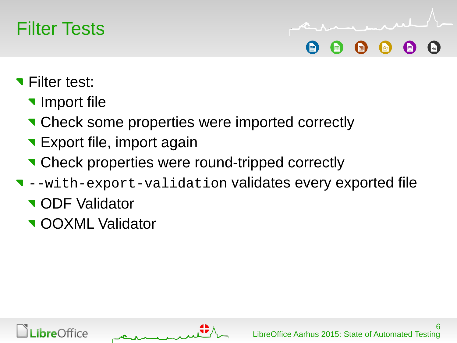

- **T** Filter test:
	- **Import file**
	- **T** Check some properties were imported correctly
	- **Export file, import again**
	- **T** Check properties were round-tripped correctly
- --with-export-validation validates every exported file
	- **v** ODF Validator
	- **v** OOXML Validator



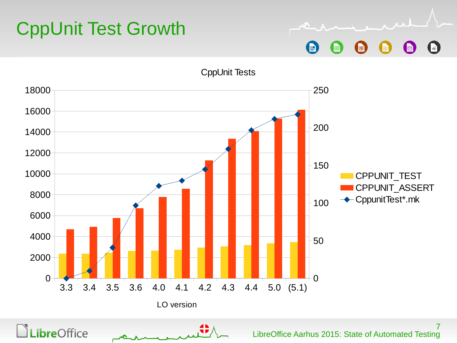# CppUnit Test Growth

 $\vert$ v $\bar{x}$ E E 同

CppUnit Tests

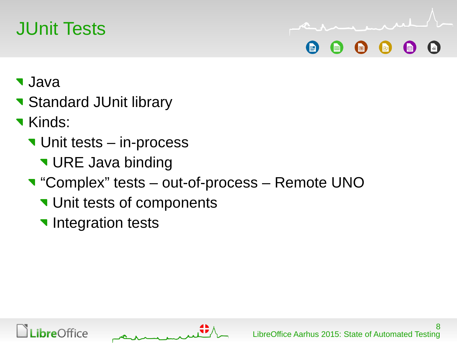## JUnit Tests

- Java
- **Standard JUnit library**
- **Kinds:** 
	- **V** Unit tests in-process
		- **V** URE Java binding
	- "Complex" tests out-of-process Remote UNO
		- Unit tests of components
		- Integration tests



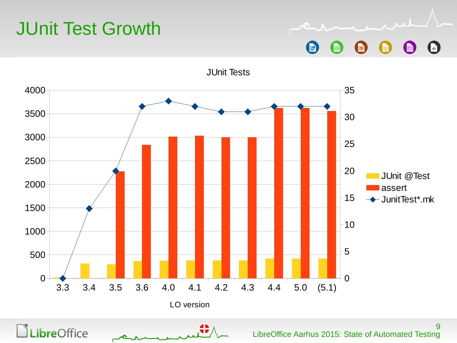## JUnit Test Growth

**Libre**Office

 $\sqrt{x}$ P a h ⊯ la

LibreOffice Aarhus 2015: State of Automated Testing



JUnit Tests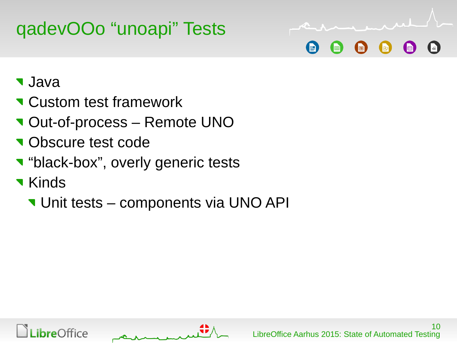# qadevOOo "unoapi" Tests



- Java
- **T** Custom test framework
- Out-of-process Remote UNO
- **v** Obscure test code
- **v** "black-box", overly generic tests
- **T** Kinds
	- **V** Unit tests components via UNO API



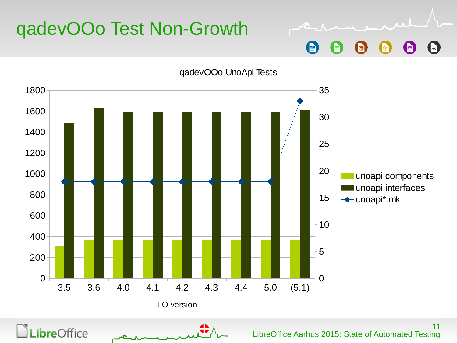

#### qadevOOo Test Non-Growth

LibreOffice Aarhus 2015: State of Automated Testing

E

圃

恒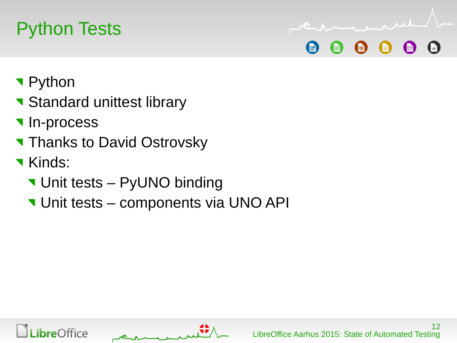## Python Tests

- Python
- Standard unittest library
- **In-process**
- **Thanks to David Ostrovsky**
- **Kinds:** 
	- **V** Unit tests PyUNO binding
	- **V** Unit tests components via UNO API



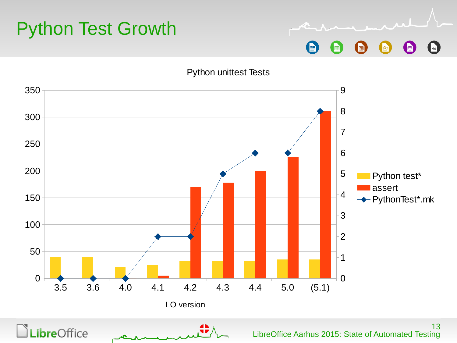

 $\sqrt{x}$ 圃 同 I∕R

Python unittest Tests

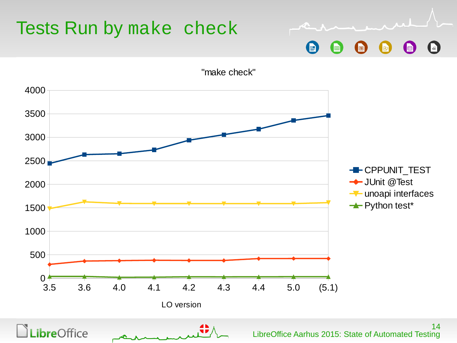

### Tests Run by make check

"make check"

(F)

h

B

⊯

 $\vert$   $\sqrt{\times}$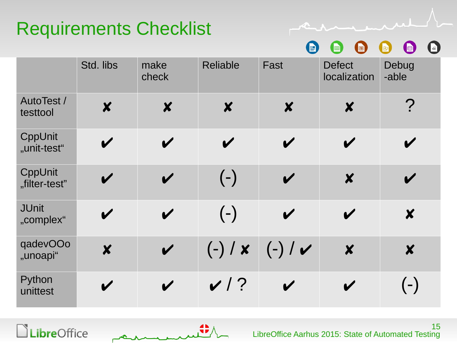## Requirements Checklist

R E  $\blacksquare$  $\left( \begin{matrix} 1 \\ 2 \end{matrix} \right)$ i bi  $\sqrt{2}$ 

لمبر

|                               | Std. libs                  | make<br>check              | <b>Reliable</b>            | Fast                       | <b>Defect</b><br>localization | Debug<br>-able             |
|-------------------------------|----------------------------|----------------------------|----------------------------|----------------------------|-------------------------------|----------------------------|
| <b>AutoTest /</b><br>testtool | $\boldsymbol{x}$           | $\boldsymbol{X}$           | $\boldsymbol{x}$           | $\boldsymbol{x}$           | $\boldsymbol{X}$              | $\sum_{\mathbf{r}}$        |
| CppUnit<br>"unit-test"        | $\boldsymbol{\mathscr{C}}$ | $\boldsymbol{\mathscr{C}}$ | $\boldsymbol{\mathscr{C}}$ | $\boldsymbol{\mathscr{C}}$ | V                             | $\boldsymbol{\mathscr{C}}$ |
| CppUnit<br>"filter-test"      | $\boldsymbol{\mathscr{C}}$ | $\boldsymbol{\mathcal{U}}$ | $(-)$                      | $\boldsymbol{\mathscr{C}}$ | $\boldsymbol{X}$              | $\boldsymbol{\mathscr{C}}$ |
| <b>JUnit</b><br>"complex"     | $\boldsymbol{\mathscr{C}}$ | $\boldsymbol{\mathcal{U}}$ | $(-)$                      | $\boldsymbol{\mathcal{U}}$ | V                             | $\boldsymbol{x}$           |
| qadevOOo<br>"unoapi"          | $\boldsymbol{x}$           | $\boldsymbol{\mathcal{U}}$ | $(-)$ / $\times$           | $(-)$ / $\checkmark$       | $\boldsymbol{x}$              | $\boldsymbol{x}$           |
| Python<br>unittest            | $\boldsymbol{\mathscr{C}}$ | $\boldsymbol{\mathcal{U}}$ | $\sqrt{2}$                 | V                          | $\boldsymbol{\mathcal{U}}$    | $(-)$                      |



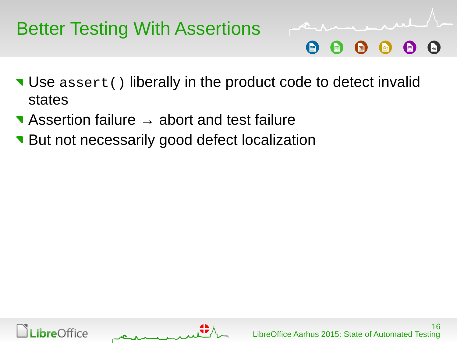## Better Testing With Assertions

- Use assert() liberally in the product code to detect invalid states
- Assertion failure → abort and test failure
- **But not necessarily good defect localization**



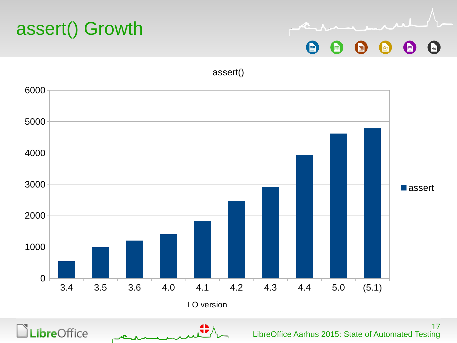



assert()

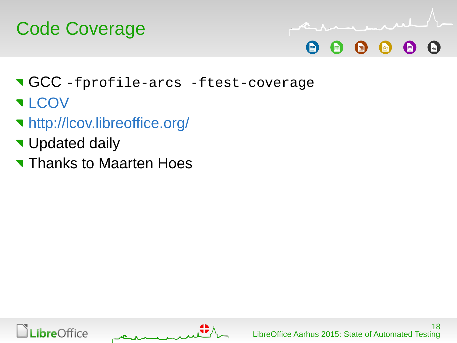



- GCC -fprofile-arcs -ftest-coverage
- **T[LCOV](http://ltp.sourceforge.net/coverage/lcov.php)**
- <http://lcov.libreoffice.org/>
- **V** Updated daily
- **Thanks to Maarten Hoes**



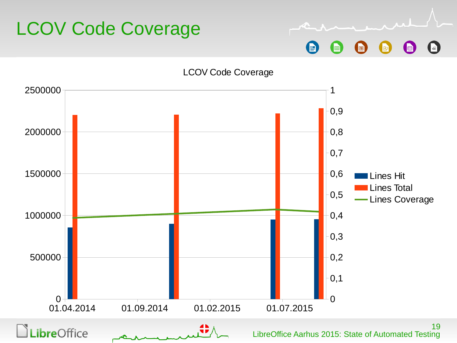

LCOV Code Coverage

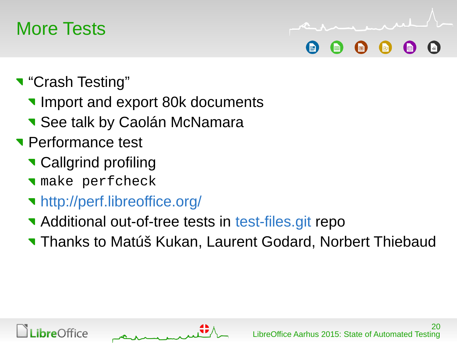#### More Tests

- **T** "Crash Testing"
	- **Import and export 80k documents**
	- **See talk by Caolán McNamara**
- **Performance test** 
	- **Callgrind profiling**
	- make perfcheck
	- <http://perf.libreoffice.org/>
	- **Additional out-of-tree tests in [test-files.git](git://gerrit.libreoffice.org/test-files.git) repo**
	- Thanks to Matúš Kukan, Laurent Godard, Norbert Thiebaud